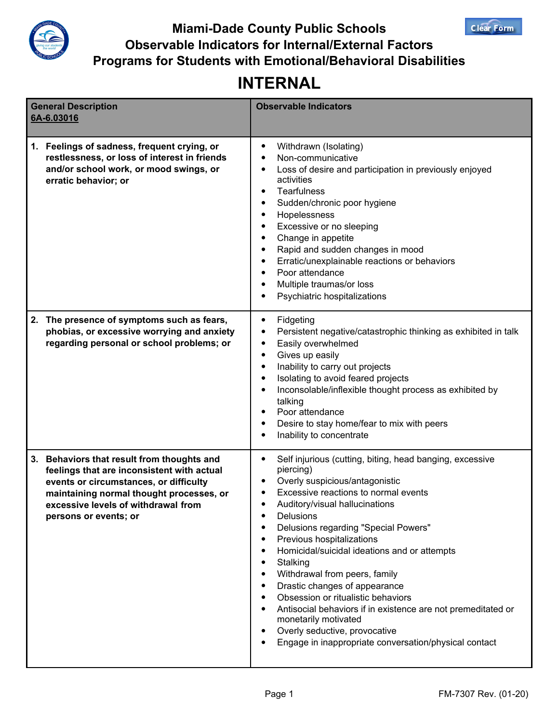

**Miami-Dade County Public Schools Observable Indicators for Internal/External Factors Programs for Students with Emotional/Behavioral Disabilities**

## **INTERNAL**

| <b>General Description</b><br>6A-6.03016                                                                                                                                                                                                       | <b>Observable Indicators</b>                                                                                                                                                                                                                                                                                                                                                                                                                                                                                                                                                                                                                  |
|------------------------------------------------------------------------------------------------------------------------------------------------------------------------------------------------------------------------------------------------|-----------------------------------------------------------------------------------------------------------------------------------------------------------------------------------------------------------------------------------------------------------------------------------------------------------------------------------------------------------------------------------------------------------------------------------------------------------------------------------------------------------------------------------------------------------------------------------------------------------------------------------------------|
|                                                                                                                                                                                                                                                |                                                                                                                                                                                                                                                                                                                                                                                                                                                                                                                                                                                                                                               |
| Feelings of sadness, frequent crying, or<br>1.<br>restlessness, or loss of interest in friends<br>and/or school work, or mood swings, or<br>erratic behavior; or                                                                               | Withdrawn (Isolating)<br>٠<br>Non-communicative<br>Loss of desire and participation in previously enjoyed<br>activities<br><b>Tearfulness</b><br>٠<br>Sudden/chronic poor hygiene<br>Hopelessness<br>٠<br>Excessive or no sleeping<br>Change in appetite<br>٠<br>Rapid and sudden changes in mood<br>Erratic/unexplainable reactions or behaviors<br>٠<br>Poor attendance<br>Multiple traumas/or loss<br>٠<br>Psychiatric hospitalizations                                                                                                                                                                                                    |
| The presence of symptoms such as fears,<br>2.<br>phobias, or excessive worrying and anxiety<br>regarding personal or school problems; or                                                                                                       | Fidgeting<br>٠<br>Persistent negative/catastrophic thinking as exhibited in talk<br>٠<br>Easily overwhelmed<br>٠<br>Gives up easily<br>٠<br>Inability to carry out projects<br>٠<br>Isolating to avoid feared projects<br>Inconsolable/inflexible thought process as exhibited by<br>talking<br>Poor attendance<br>Desire to stay home/fear to mix with peers<br>Inability to concentrate<br>٠                                                                                                                                                                                                                                                |
| 3. Behaviors that result from thoughts and<br>feelings that are inconsistent with actual<br>events or circumstances, or difficulty<br>maintaining normal thought processes, or<br>excessive levels of withdrawal from<br>persons or events; or | Self injurious (cutting, biting, head banging, excessive<br>piercing)<br>Overly suspicious/antagonistic<br>Excessive reactions to normal events<br>Auditory/visual hallucinations<br>Delusions<br>٠<br>Delusions regarding "Special Powers"<br>Previous hospitalizations<br>٠<br>Homicidal/suicidal ideations and or attempts<br>Stalking<br>٠<br>Withdrawal from peers, family<br>Drastic changes of appearance<br>٠<br>Obsession or ritualistic behaviors<br>Antisocial behaviors if in existence are not premeditated or<br>monetarily motivated<br>Overly seductive, provocative<br>Engage in inappropriate conversation/physical contact |

**Clear Form**